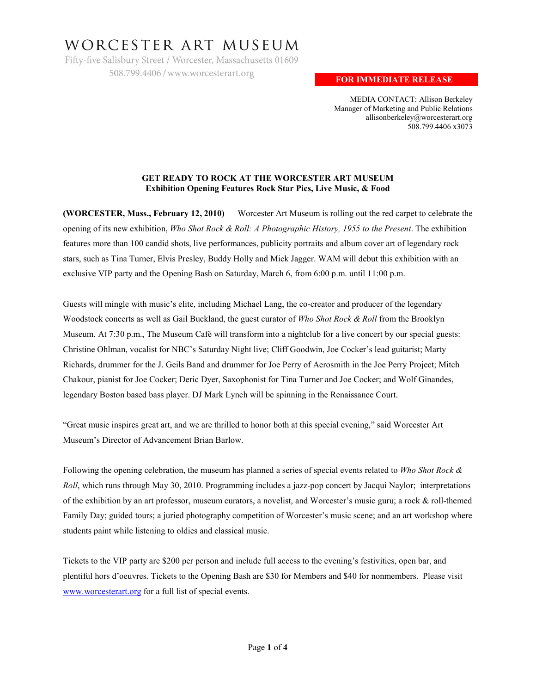# WORCESTER ART MUSEUM

Fifty-five Salisbury Street / Worcester, Massachusetts 01609 508.799.4406 / www.worcesterart.org

# **FOR IMMEDIATE RELEASE**

MEDIA CONTACT: Allison Berkeley Manager of Marketing and Public Relations allisonberkeley@worcesterart.org 508.799.4406 x3073

# **GET READY TO ROCK AT THE WORCESTER ART MUSEUM Exhibition Opening Features Rock Star Pics, Live Music, & Food**

**(WORCESTER, Mass., February 12, 2010)** — Worcester Art Museum is rolling out the red carpet to celebrate the opening of its new exhibition, *Who Shot Rock & Roll: A Photographic History, 1955 to the Present*. The exhibition features more than 100 candid shots, live performances, publicity portraits and album cover art of legendary rock stars, such as Tina Turner, Elvis Presley, Buddy Holly and Mick Jagger. WAM will debut this exhibition with an exclusive VIP party and the Opening Bash on Saturday, March 6, from 6:00 p.m. until 11:00 p.m.

Guests will mingle with music's elite, including Michael Lang, the co-creator and producer of the legendary Woodstock concerts as well as Gail Buckland, the guest curator of *Who Shot Rock & Roll* from the Brooklyn Museum. At 7:30 p.m., The Museum Café will transform into a nightclub for a live concert by our special guests: Christine Ohlman, vocalist for NBC's Saturday Night live; Cliff Goodwin, Joe Cocker's lead guitarist; Marty Richards, drummer for the J. Geils Band and drummer for Joe Perry of Aerosmith in the Joe Perry Project; Mitch Chakour, pianist for Joe Cocker; Deric Dyer, Saxophonist for Tina Turner and Joe Cocker; and Wolf Ginandes, legendary Boston based bass player. DJ Mark Lynch will be spinning in the Renaissance Court.

"Great music inspires great art, and we are thrilled to honor both at this special evening," said Worcester Art Museum's Director of Advancement Brian Barlow.

Following the opening celebration, the museum has planned a series of special events related to *Who Shot Rock & Roll*, which runs through May 30, 2010. Programming includes a jazz-pop concert by Jacqui Naylor; interpretations of the exhibition by an art professor, museum curators, a novelist, and Worcester's music guru; a rock & roll-themed Family Day; guided tours; a juried photography competition of Worcester's music scene; and an art workshop where students paint while listening to oldies and classical music.

Tickets to the VIP party are \$200 per person and include full access to the evening's festivities, open bar, and plentiful hors d'oeuvres. Tickets to the Opening Bash are \$30 for Members and \$40 for nonmembers. Please visit [www.worcesterart.org](http://www.worcesterart.org/) for a full list of special events.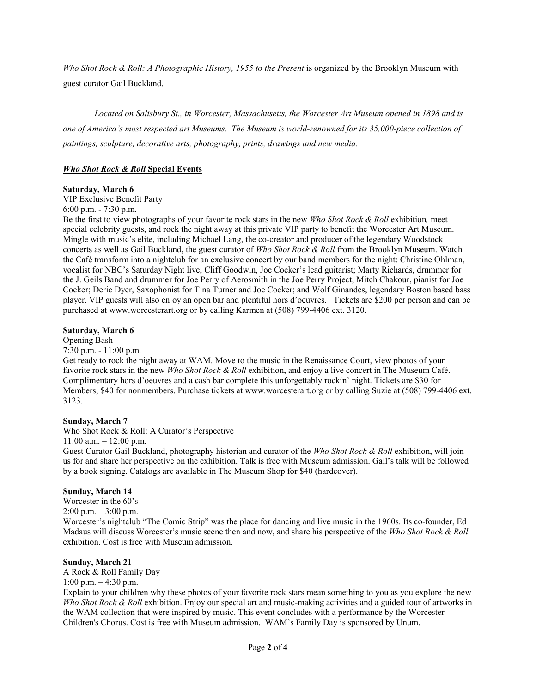*Who Shot Rock & Roll: A Photographic History, 1955 to the Present* is organized by the Brooklyn Museum with guest curator Gail Buckland.

*Located on Salisbury St., in Worcester, Massachusetts, the Worcester Art Museum opened in 1898 and is one of America's most respected art Museums. The Museum is world-renowned for its 35,000-piece collection of paintings, sculpture, decorative arts, photography, prints, drawings and new media.* 

# *Who Shot Rock & Roll* **Special Events**

#### **Saturday, March 6**

VIP Exclusive Benefit Party

6:00 p.m. - 7:30 p.m.

Be the first to view photographs of your favorite rock stars in the new *Who Shot Rock & Roll* exhibition*,* meet special celebrity guests, and rock the night away at this private VIP party to benefit the Worcester Art Museum. Mingle with music's elite, including Michael Lang, the co-creator and producer of the legendary Woodstock concerts as well as Gail Buckland, the guest curator of *Who Shot Rock & Roll* from the Brooklyn Museum. Watch the Café transform into a nightclub for an exclusive concert by our band members for the night: Christine Ohlman, vocalist for NBC's Saturday Night live; Cliff Goodwin, Joe Cocker's lead guitarist; Marty Richards, drummer for the J. Geils Band and drummer for Joe Perry of Aerosmith in the Joe Perry Project; Mitch Chakour, pianist for Joe Cocker; Deric Dyer, Saxophonist for Tina Turner and Joe Cocker; and Wolf Ginandes, legendary Boston based bass player. VIP guests will also enjoy an open bar and plentiful hors d'oeuvres. Tickets are \$200 per person and can be purchased at www.worcesterart.org or by calling Karmen at (508) 799-4406 ext. 3120.

#### **Saturday, March 6**

Opening Bash

7:30 p.m. - 11:00 p.m.

Get ready to rock the night away at WAM. Move to the music in the Renaissance Court, view photos of your favorite rock stars in the new *Who Shot Rock & Roll* exhibition, and enjoy a live concert in The Museum Café. Complimentary hors d'oeuvres and a cash bar complete this unforgettably rockin' night. Tickets are \$30 for Members, \$40 for nonmembers. Purchase tickets at www.worcesterart.org or by calling Suzie at (508) 799-4406 ext. 3123.

#### **Sunday, March 7**

Who Shot Rock & Roll: A Curator's Perspective

 $11:00$  a.m.  $-12:00$  p.m.

Guest Curator Gail Buckland, photography historian and curator of the *Who Shot Rock & Roll* exhibition, will join us for and share her perspective on the exhibition. Talk is free with Museum admission. Gail's talk will be followed by a book signing. Catalogs are available in The Museum Shop for \$40 (hardcover).

#### **Sunday, March 14**

Worcester in the 60's  $2:00 \text{ p.m.} - 3:00 \text{ p.m.}$ Worcester's nightclub "The Comic Strip" was the place for dancing and live music in the 1960s. Its co-founder, Ed Madaus will discuss Worcester's music scene then and now, and share his perspective of the *Who Shot Rock & Roll* exhibition. Cost is free with Museum admission.

#### **Sunday, March 21**

A Rock & Roll Family Day 1:00 p.m.  $-4:30$  p.m.

Explain to your children why these photos of your favorite rock stars mean something to you as you explore the new *Who Shot Rock & Roll* exhibition. Enjoy our special art and music-making activities and a guided tour of artworks in the WAM collection that were inspired by music. This event concludes with a performance by the Worcester Children's Chorus. Cost is free with Museum admission. WAM's Family Day is sponsored by Unum.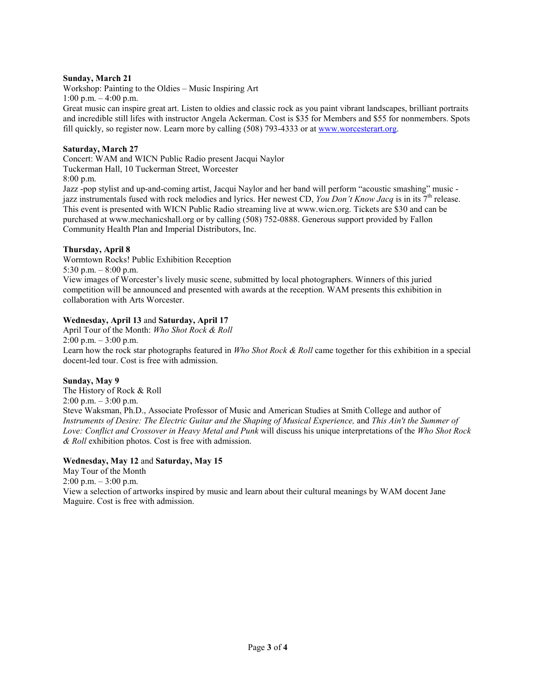#### **Sunday, March 21**

Workshop: Painting to the Oldies – Music Inspiring Art 1:00 p.m.  $-4:00$  p.m.

Great music can inspire great art. Listen to oldies and classic rock as you paint vibrant landscapes, brilliant portraits and incredible still lifes with instructor Angela Ackerman. Cost is \$35 for Members and \$55 for nonmembers. Spots fill quickly, so register now. Learn more by calling (508) 793-4333 or at [www.worcesterart.org.](http://www.worcesterart.org/) 

#### **Saturday, March 27**

Concert: WAM and WICN Public Radio present Jacqui Naylor Tuckerman Hall, 10 Tuckerman Street, Worcester

8:00 p.m.

Jazz -pop stylist and up-and-coming artist, Jacqui Naylor and her band will perform "acoustic smashing" music jazz instrumentals fused with rock melodies and lyrics. Her newest CD, *You Don't Know Jacq* is in its 7th release. This event is presented with WICN Public Radio streaming live at www.wicn.org. Tickets are \$30 and can be purchased at www.mechanicshall.org or by calling (508) 752-0888. Generous support provided by Fallon Community Health Plan and Imperial Distributors, Inc.

#### **Thursday, April 8**

Wormtown Rocks! Public Exhibition Reception

5:30 p.m.  $-8:00$  p.m.

View images of Worcester's lively music scene, submitted by local photographers. Winners of this juried competition will be announced and presented with awards at the reception. WAM presents this exhibition in collaboration with Arts Worcester.

#### **Wednesday, April 13** and **Saturday, April 17**

April Tour of the Month: *Who Shot Rock & Roll*  $2:00 \text{ p.m.} - 3:00 \text{ p.m.}$ 

Learn how the rock star photographs featured in *Who Shot Rock & Roll* came together for this exhibition in a special docent-led tour. Cost is free with admission.

#### **Sunday, May 9**

The History of Rock & Roll 2:00 p.m. – 3:00 p.m. Steve Waksman, Ph.D., Associate Professor of Music and American Studies at Smith College and author of *Instruments of Desire: The Electric Guitar and the Shaping of Musical Experience,* and *This Ain't the Summer of Love: Conflict and Crossover in Heavy Metal and Punk* will discuss his unique interpretations of the *Who Shot Rock & Roll* exhibition photos. Cost is free with admission.

#### **Wednesday, May 12** and **Saturday, May 15**

May Tour of the Month  $2:00 \text{ p.m.} - 3:00 \text{ p.m.}$ 

View a selection of artworks inspired by music and learn about their cultural meanings by WAM docent Jane Maguire. Cost is free with admission.